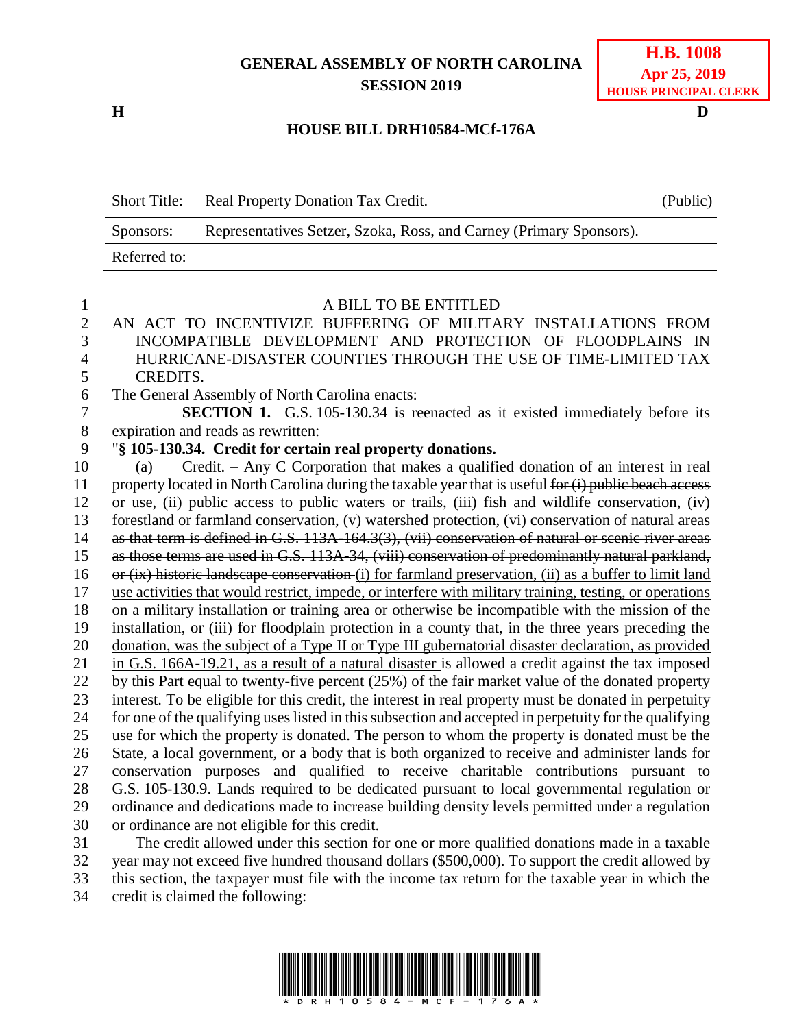## **GENERAL ASSEMBLY OF NORTH CAROLINA SESSION 2019**

**H D**

## **HOUSE BILL DRH10584-MCf-176A**

Short Title: Real Property Donation Tax Credit. (Public) Sponsors: Representatives Setzer, Szoka, Ross, and Carney (Primary Sponsors). Referred to:

| $\mathbf{1}$   | A BILL TO BE ENTITLED                                                                                   |
|----------------|---------------------------------------------------------------------------------------------------------|
| $\overline{c}$ | AN ACT TO INCENTIVIZE BUFFERING OF MILITARY INSTALLATIONS FROM                                          |
| $\overline{3}$ | INCOMPATIBLE DEVELOPMENT AND PROTECTION OF FLOODPLAINS IN                                               |
| $\overline{4}$ | HURRICANE-DISASTER COUNTIES THROUGH THE USE OF TIME-LIMITED TAX                                         |
| 5              | <b>CREDITS.</b>                                                                                         |
| 6              | The General Assembly of North Carolina enacts:                                                          |
| $\overline{7}$ | SECTION 1. G.S. 105-130.34 is reenacted as it existed immediately before its                            |
| 8              | expiration and reads as rewritten:                                                                      |
| 9              | "§ 105-130.34. Credit for certain real property donations.                                              |
| 10             | $Credit.$ Any C Corporation that makes a qualified donation of an interest in real<br>(a)               |
| 11             | property located in North Carolina during the taxable year that is useful for (i) public beach access   |
| 12             | or use, (ii) public access to public waters or trails, (iii) fish and wildlife conservation, (iv)       |
| 13             | forestland or farmland conservation, (v) watershed protection, (vi) conservation of natural areas       |
| 14             | as that term is defined in G.S. 113A-164.3(3), (vii) conservation of natural or scenic river areas      |
| 15             | as those terms are used in G.S. 113A-34, (viii) conservation of predominantly natural parkland,         |
| 16             | or (ix) historic landscape conservation (i) for farmland preservation, (ii) as a buffer to limit land   |
| 17             | use activities that would restrict, impede, or interfere with military training, testing, or operations |
| 18             | on a military installation or training area or otherwise be incompatible with the mission of the        |
| 19             | installation, or (iii) for floodplain protection in a county that, in the three years preceding the     |
| 20             | donation, was the subject of a Type II or Type III gubernatorial disaster declaration, as provided      |
| 21             | in G.S. 166A-19.21, as a result of a natural disaster is allowed a credit against the tax imposed       |
| 22             | by this Part equal to twenty-five percent (25%) of the fair market value of the donated property        |
| 23             | interest. To be eligible for this credit, the interest in real property must be donated in perpetuity   |
| 24             | for one of the qualifying uses listed in this subsection and accepted in perpetuity for the qualifying  |
| 25             | use for which the property is donated. The person to whom the property is donated must be the           |
| 26             | State, a local government, or a body that is both organized to receive and administer lands for         |
| 27             | conservation purposes and qualified to receive charitable contributions pursuant to                     |
| 28             | G.S. 105-130.9. Lands required to be dedicated pursuant to local governmental regulation or             |
| 29             | ordinance and dedications made to increase building density levels permitted under a regulation         |
| 30             | or ordinance are not eligible for this credit.                                                          |
| $\mathbf{A}$   | $1.67 + 1.1$ $1.7$ $1.7$ $1.1$                                                                          |

 The credit allowed under this section for one or more qualified donations made in a taxable year may not exceed five hundred thousand dollars (\$500,000). To support the credit allowed by this section, the taxpayer must file with the income tax return for the taxable year in which the credit is claimed the following:

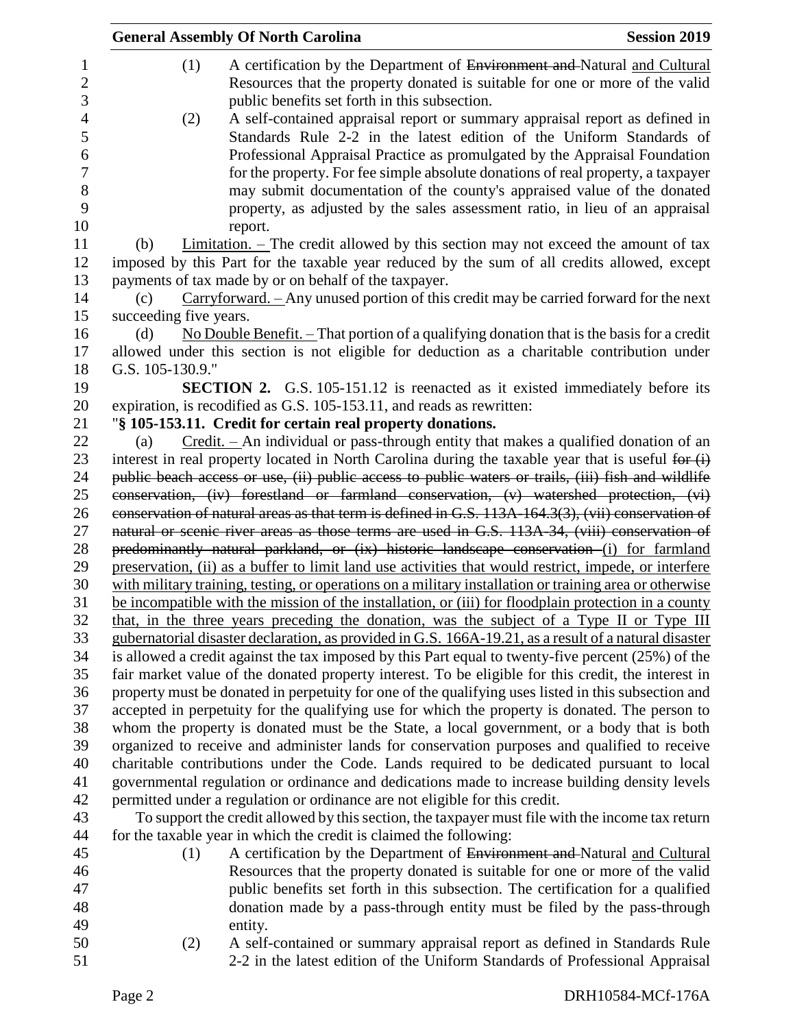|                |                        | <b>General Assembly Of North Carolina</b>                                                                                                                                                          | <b>Session 2019</b> |
|----------------|------------------------|----------------------------------------------------------------------------------------------------------------------------------------------------------------------------------------------------|---------------------|
| 1              | (1)                    | A certification by the Department of Environment and Natural and Cultural                                                                                                                          |                     |
| $\mathbf{2}$   |                        | Resources that the property donated is suitable for one or more of the valid                                                                                                                       |                     |
| 3              |                        | public benefits set forth in this subsection.                                                                                                                                                      |                     |
| $\overline{4}$ | (2)                    | A self-contained appraisal report or summary appraisal report as defined in                                                                                                                        |                     |
| 5              |                        | Standards Rule 2-2 in the latest edition of the Uniform Standards of                                                                                                                               |                     |
| 6              |                        | Professional Appraisal Practice as promulgated by the Appraisal Foundation                                                                                                                         |                     |
| $\tau$<br>8    |                        | for the property. For fee simple absolute donations of real property, a taxpayer<br>may submit documentation of the county's appraised value of the donated                                        |                     |
| 9              |                        | property, as adjusted by the sales assessment ratio, in lieu of an appraisal                                                                                                                       |                     |
| 10             |                        | report.                                                                                                                                                                                            |                     |
| 11             | (b)                    | $Limitation.$ The credit allowed by this section may not exceed the amount of tax                                                                                                                  |                     |
| 12             |                        | imposed by this Part for the taxable year reduced by the sum of all credits allowed, except                                                                                                        |                     |
| 13             |                        | payments of tax made by or on behalf of the taxpayer.                                                                                                                                              |                     |
| 14             | (c)                    | $Carryforward.$ - Any unused portion of this credit may be carried forward for the next                                                                                                            |                     |
| 15             | succeeding five years. |                                                                                                                                                                                                    |                     |
| 16             | (d)                    | No Double Benefit. $-$ That portion of a qualifying donation that is the basis for a credit                                                                                                        |                     |
| 17             |                        | allowed under this section is not eligible for deduction as a charitable contribution under                                                                                                        |                     |
| 18             | G.S. 105-130.9."       |                                                                                                                                                                                                    |                     |
| 19             |                        | <b>SECTION 2.</b> G.S. 105-151.12 is reenacted as it existed immediately before its                                                                                                                |                     |
| 20<br>21       |                        | expiration, is recodified as G.S. 105-153.11, and reads as rewritten:<br>"§ 105-153.11. Credit for certain real property donations.                                                                |                     |
| 22             | (a)                    | Credit. – An individual or pass-through entity that makes a qualified donation of an                                                                                                               |                     |
| 23             |                        | interest in real property located in North Carolina during the taxable year that is useful for $(i)$                                                                                               |                     |
| 24             |                        | public beach access or use, (ii) public access to public waters or trails, (iii) fish and wildlife                                                                                                 |                     |
| 25             |                        | conservation, (iv) forestland or farmland conservation, (v) watershed protection, (vi)                                                                                                             |                     |
| 26             |                        | conservation of natural areas as that term is defined in G.S. 113A-164.3(3), (vii) conservation of                                                                                                 |                     |
| 27             |                        | natural or scenic river areas as those terms are used in G.S. 113A-34, (viii) conservation of                                                                                                      |                     |
| 28             |                        | predominantly natural parkland, or (ix) historic landscape conservation (i) for farmland                                                                                                           |                     |
| 29             |                        | preservation, (ii) as a buffer to limit land use activities that would restrict, impede, or interfere                                                                                              |                     |
| 30             |                        | with military training, testing, or operations on a military installation or training area or otherwise                                                                                            |                     |
| 31             |                        | be incompatible with the mission of the installation, or (iii) for floodplain protection in a county                                                                                               |                     |
| 32<br>33       |                        | that, in the three years preceding the donation, was the subject of a Type II or Type III<br>gubernatorial disaster declaration, as provided in G.S. 166A-19.21, as a result of a natural disaster |                     |
| 34             |                        | is allowed a credit against the tax imposed by this Part equal to twenty-five percent (25%) of the                                                                                                 |                     |
| 35             |                        | fair market value of the donated property interest. To be eligible for this credit, the interest in                                                                                                |                     |
| 36             |                        | property must be donated in perpetuity for one of the qualifying uses listed in this subsection and                                                                                                |                     |
| 37             |                        | accepted in perpetuity for the qualifying use for which the property is donated. The person to                                                                                                     |                     |
| 38             |                        | whom the property is donated must be the State, a local government, or a body that is both                                                                                                         |                     |
| 39             |                        | organized to receive and administer lands for conservation purposes and qualified to receive                                                                                                       |                     |
| 40             |                        | charitable contributions under the Code. Lands required to be dedicated pursuant to local                                                                                                          |                     |
| 41             |                        | governmental regulation or ordinance and dedications made to increase building density levels                                                                                                      |                     |
| 42             |                        | permitted under a regulation or ordinance are not eligible for this credit.                                                                                                                        |                     |
| 43             |                        | To support the credit allowed by this section, the taxpayer must file with the income tax return                                                                                                   |                     |
| 44<br>45       |                        | for the taxable year in which the credit is claimed the following:                                                                                                                                 |                     |
| 46             | (1)                    | A certification by the Department of Environment and Natural and Cultural<br>Resources that the property donated is suitable for one or more of the valid                                          |                     |
| 47             |                        | public benefits set forth in this subsection. The certification for a qualified                                                                                                                    |                     |
| 48             |                        | donation made by a pass-through entity must be filed by the pass-through                                                                                                                           |                     |
| 49             |                        | entity.                                                                                                                                                                                            |                     |
| 50             | (2)                    | A self-contained or summary appraisal report as defined in Standards Rule                                                                                                                          |                     |
| 51             |                        | 2-2 in the latest edition of the Uniform Standards of Professional Appraisal                                                                                                                       |                     |